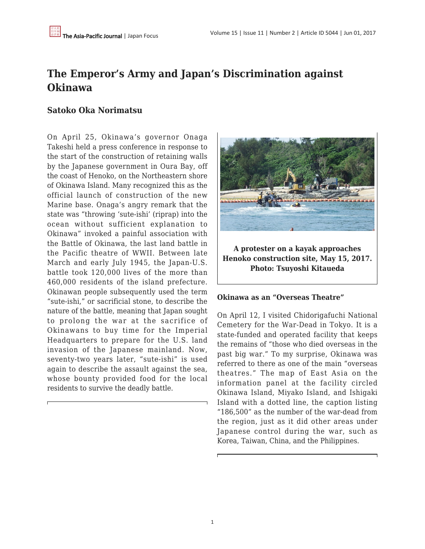# **The Emperor's Army and Japan's Discrimination against Okinawa**

## **Satoko Oka Norimatsu**

On April 25, Okinawa's governor Onaga Takeshi held a press conference in response to the start of the construction of retaining walls by the Japanese government in Oura Bay, off the coast of Henoko, on the Northeastern shore of Okinawa Island. Many recognized this as the official launch of construction of the new Marine base. Onaga's angry remark that the state was "throwing 'sute-ishi' (riprap) into the ocean without sufficient explanation to Okinawa" invoked a painful association with the Battle of Okinawa, the last land battle in the Pacific theatre of WWII. Between late March and early July 1945, the Japan-U.S. battle took 120,000 lives of the more than 460,000 residents of the island prefecture. Okinawan people subsequently used the term "sute-ishi," or sacrificial stone, to describe the nature of the battle, meaning that Japan sought to prolong the war at the sacrifice of Okinawans to buy time for the Imperial Headquarters to prepare for the U.S. land invasion of the Japanese mainland. Now, seventy-two years later, "sute-ishi" is used again to describe the assault against the sea, whose bounty provided food for the local residents to survive the deadly battle.



**A protester on a kayak approaches Henoko construction site, May 15, 2017. Photo: Tsuyoshi Kitaueda**

#### **Okinawa as an "Overseas Theatre"**

On April 12, I visited Chidorigafuchi National Cemetery for the War-Dead in Tokyo. It is a state-funded and operated facility that keeps the remains of "those who died overseas in the past big war." To my surprise, Okinawa was referred to there as one of the main "overseas theatres." The map of East Asia on the information panel at the facility circled Okinawa Island, Miyako Island, and Ishigaki Island with a dotted line, the caption listing "186,500" as the number of the war-dead from the region, just as it did other areas under Japanese control during the war, such as Korea, Taiwan, China, and the Philippines.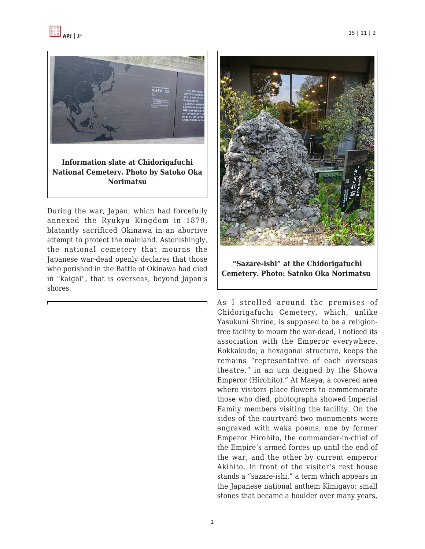



**Information slate at Chidorigafuchi National Cemetery. Photo by Satoko Oka Norimatsu**

During the war, Japan, which had forcefully annexed the Ryukyu Kingdom in 1879, blatantly sacrificed Okinawa in an abortive attempt to protect the mainland. Astonishingly, the national cemetery that mourns the Japanese war-dead openly declares that those who perished in the Battle of Okinawa had died in "kaigai", that is overseas, beyond Japan's shores.



**"Sazare-ishi" at the Chidorigafuchi Cemetery. Photo: Satoko Oka Norimatsu** 

As I strolled around the premises of Chidorigafuchi Cemetery, which, unlike Yasukuni Shrine, is supposed to be a religionfree facility to mourn the war-dead, I noticed its association with the Emperor everywhere. Rokkakudo, a hexagonal structure, keeps the remains "representative of each overseas theatre," in an urn deigned by the Showa Emperor (Hirohito)." At Maeya, a covered area where visitors place flowers to commemorate those who died, photographs showed Imperial Family members visiting the facility. On the sides of the courtyard two monuments were engraved with waka poems, one by former Emperor Hirohito, the commander-in-chief of the Empire's armed forces up until the end of the war, and the other by current emperor Akihito. In front of the visitor's rest house stands a "sazare-ishi," a term which appears in the Japanese national anthem Kimigayo: small stones that became a boulder over many years,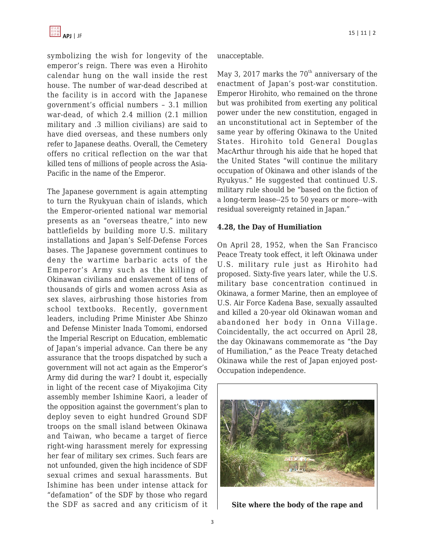symbolizing the wish for longevity of the emperor's reign. There was even a Hirohito calendar hung on the wall inside the rest house. The number of war-dead described at the facility is in accord with the Japanese government's official numbers – 3.1 million war-dead, of which 2.4 million (2.1 million military and .3 million civilians) are said to have died overseas, and these numbers only refer to Japanese deaths. Overall, the Cemetery offers no critical reflection on the war that killed tens of millions of people across the Asia-Pacific in the name of the Emperor.

The Japanese government is again attempting to turn the Ryukyuan chain of islands, which the Emperor-oriented national war memorial presents as an "overseas theatre," into new battlefields by building more U.S. military installations and Japan's Self-Defense Forces bases. The Japanese government continues to deny the wartime barbaric acts of the Emperor's Army such as the killing of Okinawan civilians and enslavement of tens of thousands of girls and women across Asia as sex slaves, airbrushing those histories from school textbooks. Recently, government leaders, including Prime Minister Abe Shinzo and Defense Minister Inada Tomomi, endorsed the Imperial Rescript on Education, emblematic of Japan's imperial advance. Can there be any assurance that the troops dispatched by such a government will not act again as the Emperor's Army did during the war? I doubt it, especially in light of the recent case of Miyakojima City assembly member Ishimine Kaori, a leader of the opposition against the government's plan to deploy seven to eight hundred Ground SDF troops on the small island between Okinawa and Taiwan, who became a target of fierce right-wing harassment merely for expressing her fear of military sex crimes. Such fears are not unfounded, given the high incidence of SDF sexual crimes and sexual harassments. But Ishimine has been under intense attack for "defamation" of the SDF by those who regard the SDF as sacred and any criticism of it unacceptable.

May 3, 2017 marks the  $70<sup>th</sup>$  anniversary of the enactment of Japan's post-war constitution. Emperor Hirohito, who remained on the throne but was prohibited from exerting any political power under the new constitution, engaged in an unconstitutional act in September of the same year by offering Okinawa to the United States. Hirohito told General Douglas MacArthur through his aide that he hoped that the United States "will continue the military occupation of Okinawa and other islands of the Ryukyus." He suggested that continued U.S. military rule should be "based on the fiction of a long-term lease--25 to 50 years or more--with residual sovereignty retained in Japan."

### **4.28, the Day of Humiliation**

On April 28, 1952, when the San Francisco Peace Treaty took effect, it left Okinawa under U.S. military rule just as Hirohito had proposed. Sixty-five years later, while the U.S. military base concentration continued in Okinawa, a former Marine, then an employee of U.S. Air Force Kadena Base, sexually assaulted and killed a 20-year old Okinawan woman and abandoned her body in Onna Village. Coincidentally, the act occurred on April 28, the day Okinawans commemorate as "the Day of Humiliation," as the Peace Treaty detached Okinawa while the rest of Japan enjoyed post-Occupation independence.



**Site where the body of the rape and**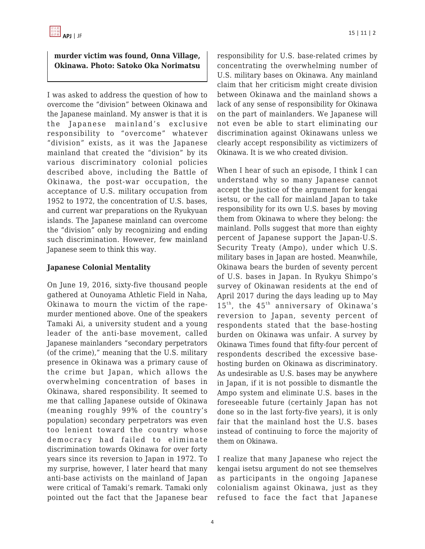### **murder victim was found, Onna Village, Okinawa. Photo: Satoko Oka Norimatsu**

I was asked to address the question of how to overcome the "division" between Okinawa and the Japanese mainland. My answer is that it is the Japanese mainland's exclusive responsibility to "overcome" whatever "division" exists, as it was the Japanese mainland that created the "division" by its various discriminatory colonial policies described above, including the Battle of Okinawa, the post-war occupation, the acceptance of U.S. military occupation from 1952 to 1972, the concentration of U.S. bases, and current war preparations on the Ryukyuan islands. The Japanese mainland can overcome the "division" only by recognizing and ending such discrimination. However, few mainland Japanese seem to think this way.

### **Japanese Colonial Mentality**

On June 19, 2016, sixty-five thousand people gathered at Ounoyama Athletic Field in Naha, Okinawa to mourn the victim of the rapemurder mentioned above. One of the speakers Tamaki Ai, a university student and a young leader of the anti-base movement, called Japanese mainlanders "secondary perpetrators (of the crime)," meaning that the U.S. military presence in Okinawa was a primary cause of the crime but Japan, which allows the overwhelming concentration of bases in Okinawa, shared responsibility. It seemed to me that calling Japanese outside of Okinawa (meaning roughly 99% of the country's population) secondary perpetrators was even too lenient toward the country whose democracy had failed to eliminate discrimination towards Okinawa for over forty years since its reversion to Japan in 1972. To my surprise, however, I later heard that many anti-base activists on the mainland of Japan were critical of Tamaki's remark. Tamaki only pointed out the fact that the Japanese bear responsibility for U.S. base-related crimes by concentrating the overwhelming number of U.S. military bases on Okinawa. Any mainland claim that her criticism might create division between Okinawa and the mainland shows a lack of any sense of responsibility for Okinawa on the part of mainlanders. We Japanese will not even be able to start eliminating our discrimination against Okinawans unless we clearly accept responsibility as victimizers of Okinawa. It is we who created division.

When I hear of such an episode, I think I can understand why so many Japanese cannot accept the justice of the argument for kengai isetsu, or the call for mainland Japan to take responsibility for its own U.S. bases by moving them from Okinawa to where they belong: the mainland. Polls suggest that more than eighty percent of Japanese support the Japan-U.S. Security Treaty (Ampo), under which U.S. military bases in Japan are hosted. Meanwhile, Okinawa bears the burden of seventy percent of U.S. bases in Japan. In Ryukyu Shimpo's survey of Okinawan residents at the end of April 2017 during the days leading up to May  $15^{th}$ , the  $45^{th}$  anniversary of Okinawa's reversion to Japan, seventy percent of respondents stated that the base-hosting burden on Okinawa was unfair. A survey by Okinawa Times found that fifty-four percent of respondents described the excessive basehosting burden on Okinawa as discriminatory. As undesirable as U.S. bases may be anywhere in Japan, if it is not possible to dismantle the Ampo system and eliminate U.S. bases in the foreseeable future (certainly Japan has not done so in the last forty-five years), it is only fair that the mainland host the U.S. bases instead of continuing to force the majority of them on Okinawa.

I realize that many Japanese who reject the kengai isetsu argument do not see themselves as participants in the ongoing Japanese colonialism against Okinawa, just as they refused to face the fact that Japanese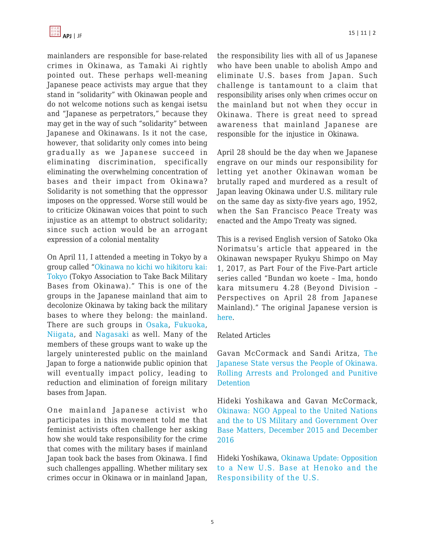

mainlanders are responsible for base-related crimes in Okinawa, as Tamaki Ai rightly pointed out. These perhaps well-meaning Japanese peace activists may argue that they stand in "solidarity" with Okinawan people and do not welcome notions such as kengai isetsu and "Japanese as perpetrators," because they may get in the way of such "solidarity" between Japanese and Okinawans. Is it not the case, however, that solidarity only comes into being gradually as we Japanese succeed in eliminating discrimination, specifically eliminating the overwhelming concentration of bases and their impact from Okinawa? Solidarity is not something that the oppressor imposes on the oppressed. Worse still would be to criticize Okinawan voices that point to such injustice as an attempt to obstruct solidarity; since such action would be an arrogant expression of a colonial mentality

On April 11, I attended a meeting in Tokyo by a group called ["Okinawa no kichi wo hikitoru kai:](https://www.facebook.com/hikitorukaiTokyo/) [Tokyo](https://www.facebook.com/hikitorukaiTokyo/) (Tokyo Association to Take Back Military Bases from Okinawa)." This is one of the groups in the Japanese mainland that aim to decolonize Okinawa by taking back the military bases to where they belong: the mainland. There are such groups in [Osaka,](http://koudo.info/hikitori/index.html) [Fukuoka,](https://firbo.themedia.jp/) [Niigata](http://okinawaniigata.blogspot.ca/), and [Nagasaki](https://firbo.themedia.jp/posts/268050) as well. Many of the members of these groups want to wake up the largely uninterested public on the mainland Japan to forge a nationwide public opinion that will eventually impact policy, leading to reduction and elimination of foreign military bases from Japan.

One mainland Japanese activist who participates in this movement told me that feminist activists often challenge her asking how she would take responsibility for the crime that comes with the military bases if mainland Japan took back the bases from Okinawa. I find such challenges appalling. Whether military sex crimes occur in Okinawa or in mainland Japan, the responsibility lies with all of us Japanese who have been unable to abolish Ampo and eliminate U.S. bases from Japan. Such challenge is tantamount to a claim that responsibility arises only when crimes occur on the mainland but not when they occur in Okinawa. There is great need to spread awareness that mainland Japanese are responsible for the injustice in Okinawa.

April 28 should be the day when we Japanese engrave on our minds our responsibility for letting yet another Okinawan woman be brutally raped and murdered as a result of Japan leaving Okinawa under U.S. military rule on the same day as sixty-five years ago, 1952, when the San Francisco Peace Treaty was enacted and the Ampo Treaty was signed.

This is a revised English version of Satoko Oka Norimatsu's article that appeared in the Okinawan newspaper Ryukyu Shimpo on May 1, 2017, as Part Four of the Five-Part article series called "Bundan wo koete – Ima, hondo kara mitsumeru 4.28 (Beyond Division – Perspectives on April 28 from Japanese Mainland)." The original Japanese version is [here.](http://peacephilosophy.blogspot.ca/2017/05/satoko-oka-norimatsu-in-ryukyu-shimpo.html)

#### Related Articles

Gavan McCormack and Sandi Aritza, [The](https://apjjf.org/2017/02/McCormack.html) [Japanese State versus the People of Okinawa.](https://apjjf.org/2017/02/McCormack.html) [Rolling Arrests and Prolonged and Punitive](https://apjjf.org/2017/02/McCormack.html) **[Detention](https://apjjf.org/2017/02/McCormack.html)** 

[Hideki Yoshikawa and Gavan McCormack,](https://apjjf.org/2016/24/Yoshikawa.html) [Okinawa: NGO Appeal to the United Nations](https://apjjf.org/2016/24/Yoshikawa.html) [and the to US Military and Government Over](https://apjjf.org/2016/24/Yoshikawa.html) [Base](https://apjjf.org/2016/24/Yoshikawa.html) Matters, December 2015 and December 2016

[Hideki Yoshikawa, Okinawa Update: Opposition](https://apjjf.org/2016/12/Yoshikawa.html) [to a New U.S. Base at He](https://apjjf.org/2016/12/Yoshikawa.html)noko and the Responsibility of the U.S.